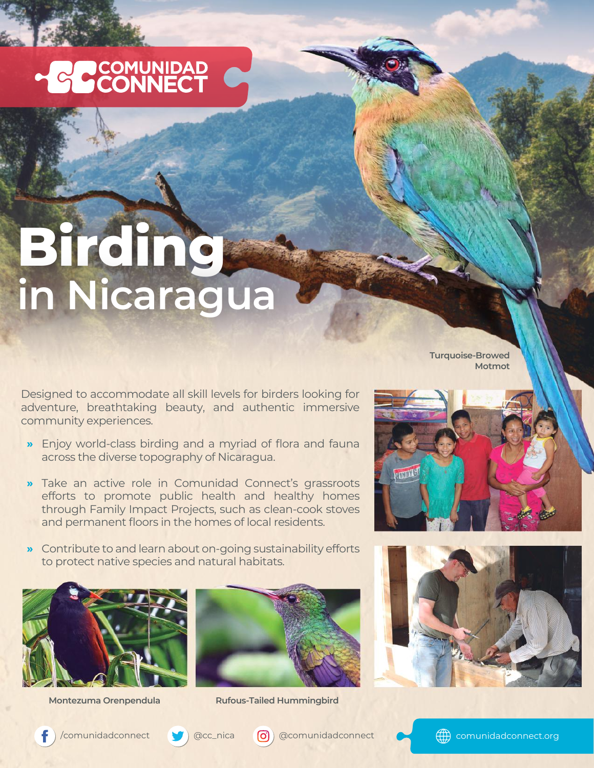## HO COMUNIDAD

## **Birding in Nicaragua**

Designed to accommodate all skill levels for birders looking for adventure, breathtaking beauty, and authentic immersive community experiences.

- Enjoy world-class birding and a myriad of flora and fauna **»** across the diverse topography of Nicaragua.
- Take an active role in Comunidad Connect's grassroots **»** efforts to promote public health and healthy homes through Family Impact Projects, such as clean-cook stoves and permanent floors in the homes of local residents.
- Contribute to and learn about on-going sustainability efforts **»** to protect native species and natural habitats.





**Montezuma Orenpendula Rufous-Tailed Hummingbird**





**Turquoise-Browed Motmot**